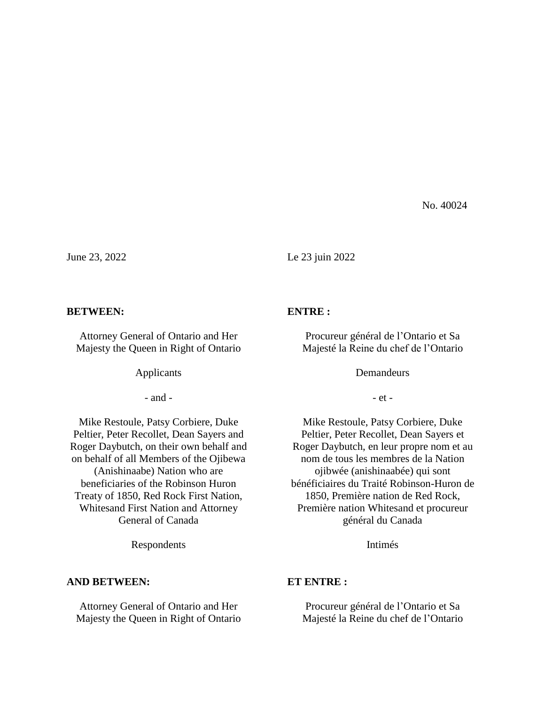No. 40024

June 23, 2022 Le 23 juin 2022

#### **BETWEEN:**

Attorney General of Ontario and Her Majesty the Queen in Right of Ontario

Applicants

- and -

Mike Restoule, Patsy Corbiere, Duke Peltier, Peter Recollet, Dean Sayers and Roger Daybutch, on their own behalf and on behalf of all Members of the Ojibewa (Anishinaabe) Nation who are beneficiaries of the Robinson Huron Treaty of 1850, Red Rock First Nation, Whitesand First Nation and Attorney General of Canada

Respondents

### **AND BETWEEN:**

Attorney General of Ontario and Her Majesty the Queen in Right of Ontario

### **ENTRE :**

Procureur général de l'Ontario et Sa Majesté la Reine du chef de l'Ontario

Demandeurs

- et -

Mike Restoule, Patsy Corbiere, Duke Peltier, Peter Recollet, Dean Sayers et Roger Daybutch, en leur propre nom et au nom de tous les membres de la Nation ojibwée (anishinaabée) qui sont bénéficiaires du Traité Robinson-Huron de 1850, Première nation de Red Rock, Première nation Whitesand et procureur général du Canada

Intimés

# **ET ENTRE :**

Procureur général de l'Ontario et Sa Majesté la Reine du chef de l'Ontario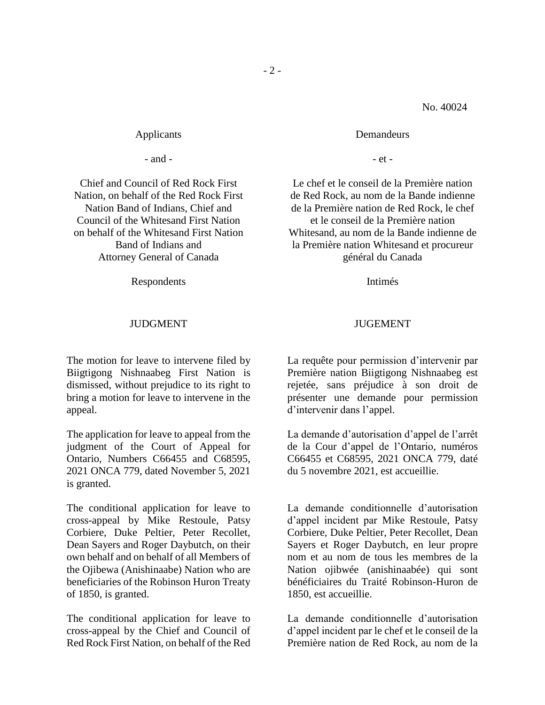- et -

**Demandeurs** 

Le chef et le conseil de la Première nation de Red Rock, au nom de la Bande indienne de la Première nation de Red Rock, le chef et le conseil de la Première nation Whitesand, au nom de la Bande indienne de la Première nation Whitesand et procureur général du Canada

Intimés

# JUGEMENT

La requête pour permission d'intervenir par Première nation Biigtigong Nishnaabeg est rejetée, sans préjudice à son droit de présenter une demande pour permission d'intervenir dans l'appel.

La demande d'autorisation d'appel de l'arrêt de la Cour d'appel de l'Ontario, numéros C66455 et C68595, 2021 ONCA 779, daté du 5 novembre 2021, est accueillie.

La demande conditionnelle d'autorisation d'appel incident par Mike Restoule, Patsy Corbiere, Duke Peltier, Peter Recollet, Dean Sayers et Roger Daybutch, en leur propre nom et au nom de tous les membres de la Nation ojibwée (anishinaabée) qui sont bénéficiaires du Traité Robinson-Huron de 1850, est accueillie.

La demande conditionnelle d'autorisation d'appel incident par le chef et le conseil de la Première nation de Red Rock, au nom de la

Applicants

- and -

Chief and Council of Red Rock First Nation, on behalf of the Red Rock First Nation Band of Indians, Chief and Council of the Whitesand First Nation on behalf of the Whitesand First Nation Band of Indians and Attorney General of Canada

Respondents

# JUDGMENT

The motion for leave to intervene filed by Biigtigong Nishnaabeg First Nation is dismissed, without prejudice to its right to bring a motion for leave to intervene in the appeal.

The application for leave to appeal from the judgment of the Court of Appeal for Ontario, Numbers C66455 and C68595, 2021 ONCA 779, dated November 5, 2021 is granted.

The conditional application for leave to cross-appeal by Mike Restoule, Patsy Corbiere, Duke Peltier, Peter Recollet, Dean Sayers and Roger Daybutch, on their own behalf and on behalf of all Members of the Ojibewa (Anishinaabe) Nation who are beneficiaries of the Robinson Huron Treaty of 1850, is granted.

The conditional application for leave to cross-appeal by the Chief and Council of Red Rock First Nation, on behalf of the Red